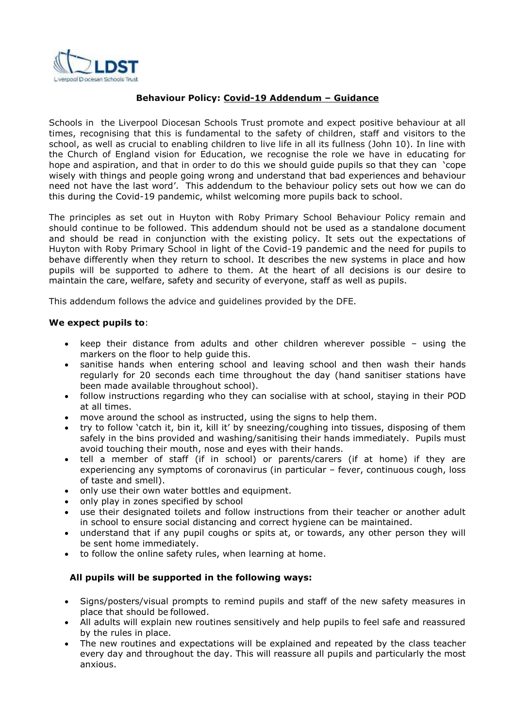

# **Behaviour Policy: Covid-19 Addendum – Guidance**

Schools in the Liverpool Diocesan Schools Trust promote and expect positive behaviour at all times, recognising that this is fundamental to the safety of children, staff and visitors to the school, as well as crucial to enabling children to live life in all its fullness (John 10). In line with the Church of England vision for Education, we recognise the role we have in educating for hope and aspiration, and that in order to do this we should guide pupils so that they can 'cope wisely with things and people going wrong and understand that bad experiences and behaviour need not have the last word'. This addendum to the behaviour policy sets out how we can do this during the Covid-19 pandemic, whilst welcoming more pupils back to school.

The principles as set out in Huyton with Roby Primary School Behaviour Policy remain and should continue to be followed. This addendum should not be used as a standalone document and should be read in conjunction with the existing policy. It sets out the expectations of Huyton with Roby Primary School in light of the Covid-19 pandemic and the need for pupils to behave differently when they return to school. It describes the new systems in place and how pupils will be supported to adhere to them. At the heart of all decisions is our desire to maintain the care, welfare, safety and security of everyone, staff as well as pupils.

This addendum follows the advice and guidelines provided by the DFE.

## **We expect pupils to**:

- keep their distance from adults and other children wherever possible using the markers on the floor to help guide this.
- sanitise hands when entering school and leaving school and then wash their hands regularly for 20 seconds each time throughout the day (hand sanitiser stations have been made available throughout school).
- follow instructions regarding who they can socialise with at school, staying in their POD at all times.
- move around the school as instructed, using the signs to help them.
- try to follow 'catch it, bin it, kill it' by sneezing/coughing into tissues, disposing of them safely in the bins provided and washing/sanitising their hands immediately. Pupils must avoid touching their mouth, nose and eyes with their hands.
- tell a member of staff (if in school) or parents/carers (if at home) if they are experiencing any symptoms of coronavirus (in particular – fever, continuous cough, loss of taste and smell).
- only use their own water bottles and equipment.
- only play in zones specified by school
- use their designated toilets and follow instructions from their teacher or another adult in school to ensure social distancing and correct hygiene can be maintained.
- understand that if any pupil coughs or spits at, or towards, any other person they will be sent home immediately.
- to follow the online safety rules, when learning at home.

### **All pupils will be supported in the following ways:**

- Signs/posters/visual prompts to remind pupils and staff of the new safety measures in place that should be followed.
- All adults will explain new routines sensitively and help pupils to feel safe and reassured by the rules in place.
- The new routines and expectations will be explained and repeated by the class teacher every day and throughout the day. This will reassure all pupils and particularly the most anxious.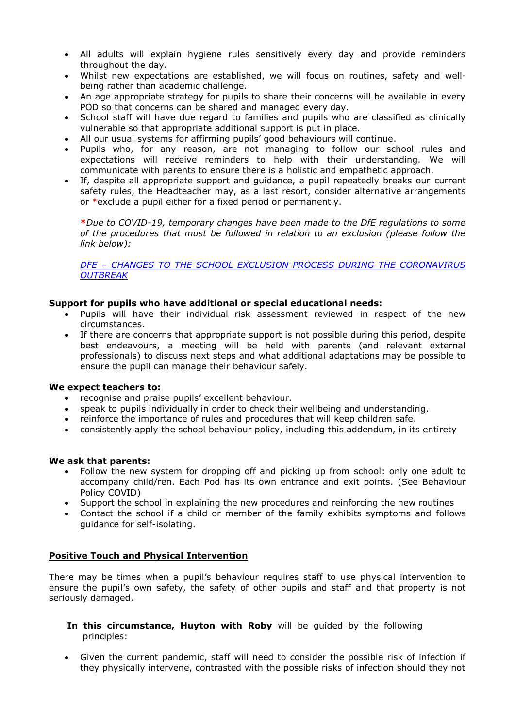- All adults will explain hygiene rules sensitively every day and provide reminders throughout the day.
- Whilst new expectations are established, we will focus on routines, safety and wellbeing rather than academic challenge.
- An age appropriate strategy for pupils to share their concerns will be available in every POD so that concerns can be shared and managed every day.
- School staff will have due regard to families and pupils who are classified as clinically vulnerable so that appropriate additional support is put in place.
- All our usual systems for affirming pupils' good behaviours will continue.
- Pupils who, for any reason, are not managing to follow our school rules and expectations will receive reminders to help with their understanding. We will communicate with parents to ensure there is a holistic and empathetic approach.
- If, despite all appropriate support and guidance, a pupil repeatedly breaks our current safety rules, the Headteacher may, as a last resort, consider alternative arrangements or \*exclude a pupil either for a fixed period or permanently.

**\****Due to COVID-19, temporary changes have been made to the DfE regulations to some of the procedures that must be followed in relation to an exclusion (please follow the link below):*

*DFE – [CHANGES TO THE SCHOOL EXCLUSION PROCESS DURING THE CORONAVIRUS](https://www.gov.uk/government/publications/school-exclusion/changes-to-the-school-exclusion-process-during-the-coronavirus-outbreak#remote-access-meetings)  [OUTBREAK](https://www.gov.uk/government/publications/school-exclusion/changes-to-the-school-exclusion-process-during-the-coronavirus-outbreak#remote-access-meetings)*

### **Support for pupils who have additional or special educational needs:**

- Pupils will have their individual risk assessment reviewed in respect of the new circumstances.
- If there are concerns that appropriate support is not possible during this period, despite best endeavours, a meeting will be held with parents (and relevant external professionals) to discuss next steps and what additional adaptations may be possible to ensure the pupil can manage their behaviour safely.

### **We expect teachers to:**

- recognise and praise pupils' excellent behaviour.
- speak to pupils individually in order to check their wellbeing and understanding.
- reinforce the importance of rules and procedures that will keep children safe.
- consistently apply the school behaviour policy, including this addendum, in its entirety

### **We ask that parents:**

- Follow the new system for dropping off and picking up from school: only one adult to accompany child/ren. Each Pod has its own entrance and exit points. (See Behaviour Policy COVID)
- Support the school in explaining the new procedures and reinforcing the new routines
- Contact the school if a child or member of the family exhibits symptoms and follows guidance for self-isolating.

### **Positive Touch and Physical Intervention**

There may be times when a pupil's behaviour requires staff to use physical intervention to ensure the pupil's own safety, the safety of other pupils and staff and that property is not seriously damaged.

- **In this circumstance, Huyton with Roby** will be guided by the following principles:
- Given the current pandemic, staff will need to consider the possible risk of infection if they physically intervene, contrasted with the possible risks of infection should they not